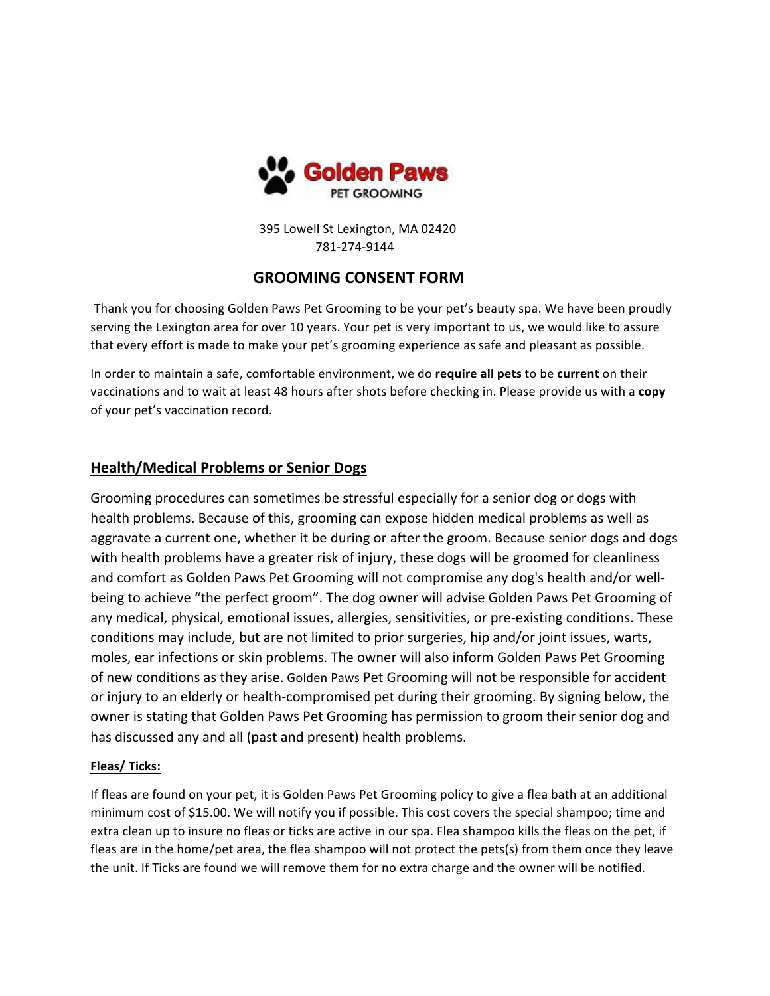

 395 Lowell St Lexington, MA 02420 781-274-9144

# **GROOMING CONSENT FORM**

Thank you for choosing Golden Paws Pet Grooming to be your pet's beauty spa. We have been proudly serving the Lexington area for over 10 years. Your pet is very important to us, we would like to assure that every effort is made to make your pet's grooming experience as safe and pleasant as possible.

In order to maintain a safe, comfortable environment, we do **require all pets** to be **current** on their vaccinations and to wait at least 48 hours after shots before checking in. Please provide us with a **copy** of your pet's vaccination record.

# **Health/Medical Problems or Senior Dogs**

Grooming procedures can sometimes be stressful especially for a senior dog or dogs with health problems. Because of this, grooming can expose hidden medical problems as well as aggravate a current one, whether it be during or after the groom. Because senior dogs and dogs with health problems have a greater risk of injury, these dogs will be groomed for cleanliness and comfort as Golden Paws Pet Grooming will not compromise any dog's health and/or wellbeing to achieve "the perfect groom". The dog owner will advise Golden Paws Pet Grooming of any medical, physical, emotional issues, allergies, sensitivities, or pre-existing conditions. These conditions may include, but are not limited to prior surgeries, hip and/or joint issues, warts, moles, ear infections or skin problems. The owner will also inform Golden Paws Pet Grooming of new conditions as they arise. Golden Paws Pet Grooming will not be responsible for accident or injury to an elderly or health-compromised pet during their grooming. By signing below, the owner is stating that Golden Paws Pet Grooming has permission to groom their senior dog and has discussed any and all (past and present) health problems.

### **Fleas/ Ticks:**

If fleas are found on your pet, it is Golden Paws Pet Grooming policy to give a flea bath at an additional minimum cost of \$15.00. We will notify you if possible. This cost covers the special shampoo; time and extra clean up to insure no fleas or ticks are active in our spa. Flea shampoo kills the fleas on the pet, if fleas are in the home/pet area, the flea shampoo will not protect the pets(s) from them once they leave the unit. If Ticks are found we will remove them for no extra charge and the owner will be notified.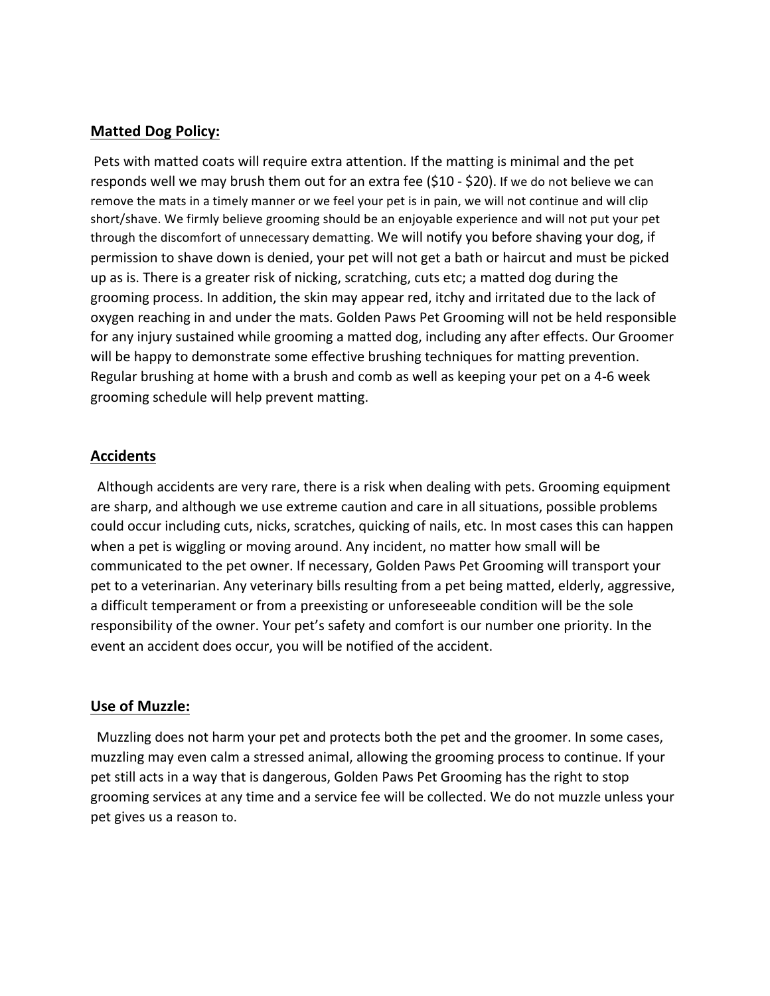## **Matted Dog Policy:**

Pets with matted coats will require extra attention. If the matting is minimal and the pet responds well we may brush them out for an extra fee (\$10 - \$20). If we do not believe we can remove the mats in a timely manner or we feel your pet is in pain, we will not continue and will clip short/shave. We firmly believe grooming should be an enjoyable experience and will not put your pet through the discomfort of unnecessary dematting. We will notify you before shaving your dog, if permission to shave down is denied, your pet will not get a bath or haircut and must be picked up as is. There is a greater risk of nicking, scratching, cuts etc; a matted dog during the grooming process. In addition, the skin may appear red, itchy and irritated due to the lack of oxygen reaching in and under the mats. Golden Paws Pet Grooming will not be held responsible for any injury sustained while grooming a matted dog, including any after effects. Our Groomer will be happy to demonstrate some effective brushing techniques for matting prevention. Regular brushing at home with a brush and comb as well as keeping your pet on a 4-6 week grooming schedule will help prevent matting.

## **Accidents**

 Although accidents are very rare, there is a risk when dealing with pets. Grooming equipment are sharp, and although we use extreme caution and care in all situations, possible problems could occur including cuts, nicks, scratches, quicking of nails, etc. In most cases this can happen when a pet is wiggling or moving around. Any incident, no matter how small will be communicated to the pet owner. If necessary, Golden Paws Pet Grooming will transport your pet to a veterinarian. Any veterinary bills resulting from a pet being matted, elderly, aggressive, a difficult temperament or from a preexisting or unforeseeable condition will be the sole responsibility of the owner. Your pet's safety and comfort is our number one priority. In the event an accident does occur, you will be notified of the accident.

### **Use of Muzzle:**

 Muzzling does not harm your pet and protects both the pet and the groomer. In some cases, muzzling may even calm a stressed animal, allowing the grooming process to continue. If your pet still acts in a way that is dangerous, Golden Paws Pet Grooming has the right to stop grooming services at any time and a service fee will be collected. We do not muzzle unless your pet gives us a reason to.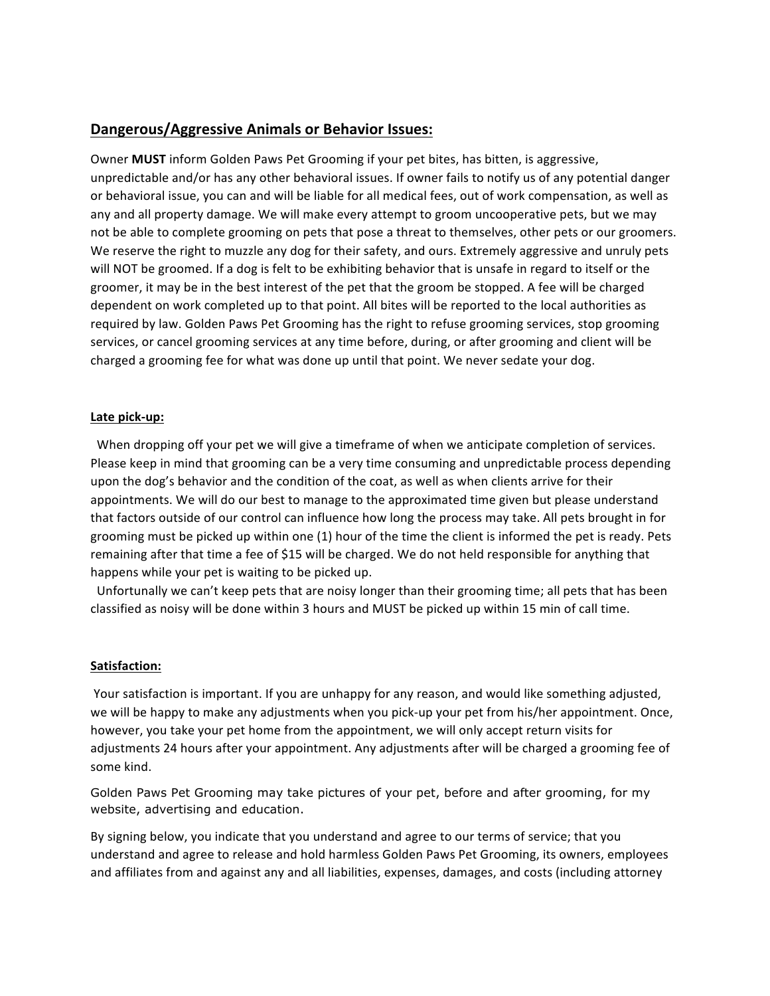## **Dangerous/Aggressive Animals or Behavior Issues:**

Owner **MUST** inform Golden Paws Pet Grooming if your pet bites, has bitten, is aggressive, unpredictable and/or has any other behavioral issues. If owner fails to notify us of any potential danger or behavioral issue, you can and will be liable for all medical fees, out of work compensation, as well as any and all property damage. We will make every attempt to groom uncooperative pets, but we may not be able to complete grooming on pets that pose a threat to themselves, other pets or our groomers. We reserve the right to muzzle any dog for their safety, and ours. Extremely aggressive and unruly pets will NOT be groomed. If a dog is felt to be exhibiting behavior that is unsafe in regard to itself or the groomer, it may be in the best interest of the pet that the groom be stopped. A fee will be charged dependent on work completed up to that point. All bites will be reported to the local authorities as required by law. Golden Paws Pet Grooming has the right to refuse grooming services, stop grooming services, or cancel grooming services at any time before, during, or after grooming and client will be charged a grooming fee for what was done up until that point. We never sedate your dog.

#### **Late pick-up:**

 When dropping off your pet we will give a timeframe of when we anticipate completion of services. Please keep in mind that grooming can be a very time consuming and unpredictable process depending upon the dog's behavior and the condition of the coat, as well as when clients arrive for their appointments. We will do our best to manage to the approximated time given but please understand that factors outside of our control can influence how long the process may take. All pets brought in for grooming must be picked up within one (1) hour of the time the client is informed the pet is ready. Pets remaining after that time a fee of \$15 will be charged. We do not held responsible for anything that happens while your pet is waiting to be picked up.

 Unfortunally we can't keep pets that are noisy longer than their grooming time; all pets that has been classified as noisy will be done within 3 hours and MUST be picked up within 15 min of call time.

#### **Satisfaction:**

Your satisfaction is important. If you are unhappy for any reason, and would like something adjusted, we will be happy to make any adjustments when you pick-up your pet from his/her appointment. Once, however, you take your pet home from the appointment, we will only accept return visits for adjustments 24 hours after your appointment. Any adjustments after will be charged a grooming fee of some kind.

Golden Paws Pet Grooming may take pictures of your pet, before and after grooming, for my website, advertising and education.

By signing below, you indicate that you understand and agree to our terms of service; that you understand and agree to release and hold harmless Golden Paws Pet Grooming, its owners, employees and affiliates from and against any and all liabilities, expenses, damages, and costs (including attorney